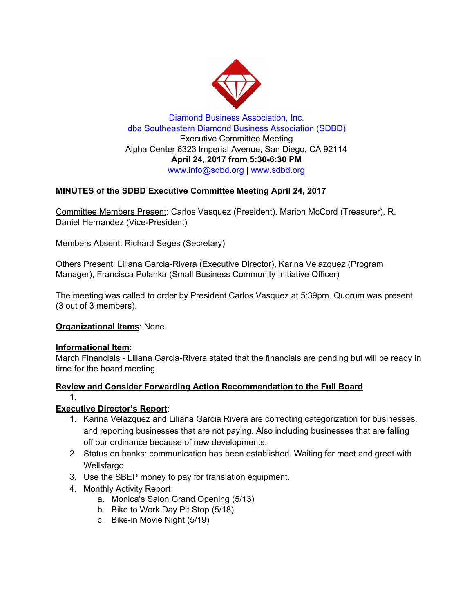

Diamond Business Association, Inc. dba Southeastern Diamond Business Association (SDBD) Executive Committee Meeting Alpha Center 6323 Imperial Avenue, San Diego, CA 92114 **April 24, 2017 from 5:30-6:30 PM** www.info@sdbd.org | [www.sdbd.org](http://www.sdbd.org/)

# **MINUTES of the SDBD Executive Committee Meeting April 24, 2017**

Committee Members Present: Carlos Vasquez (President), Marion McCord (Treasurer), R. Daniel Hernandez (Vice-President)

Members Absent: Richard Seges (Secretary)

Others Present: Liliana Garcia-Rivera (Executive Director), Karina Velazquez (Program Manager), Francisca Polanka (Small Business Community Initiative Officer)

The meeting was called to order by President Carlos Vasquez at 5:39pm. Quorum was present (3 out of 3 members).

## **Organizational Items**: None.

### **Informational Item**:

March Financials - Liliana Garcia-Rivera stated that the financials are pending but will be ready in time for the board meeting.

## **Review and Consider Forwarding Action Recommendation to the Full Board**

### 1.

## **Executive Director's Report**:

- 1. Karina Velazquez and Liliana Garcia Rivera are correcting categorization for businesses, and reporting businesses that are not paying. Also including businesses that are falling off our ordinance because of new developments.
- 2. Status on banks: communication has been established. Waiting for meet and greet with Wellsfargo
- 3. Use the SBEP money to pay for translation equipment.
- 4. Monthly Activity Report
	- a. Monica's Salon Grand Opening (5/13)
	- b. Bike to Work Day Pit Stop (5/18)
	- c. Bike-in Movie Night (5/19)